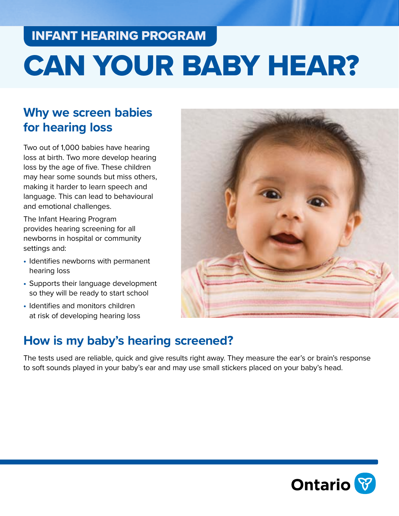## INFANT HEARING PROGRAM

# CAN YOUR BABY HEAR?

## **Why we screen babies for hearing loss**

Two out of 1,000 babies have hearing loss at birth. Two more develop hearing loss by the age of five. These children may hear some sounds but miss others, making it harder to learn speech and language. This can lead to behavioural and emotional challenges.

The Infant Hearing Program provides hearing screening for all newborns in hospital or community settings and:

- Identifies newborns with permanent hearing loss
- Supports their language development so they will be ready to start school
- Identifies and monitors children at risk of developing hearing loss



## **How is my baby's hearing screened?**

The tests used are reliable, quick and give results right away. They measure the ear's or brain's response to soft sounds played in your baby's ear and may use small stickers placed on your baby's head.